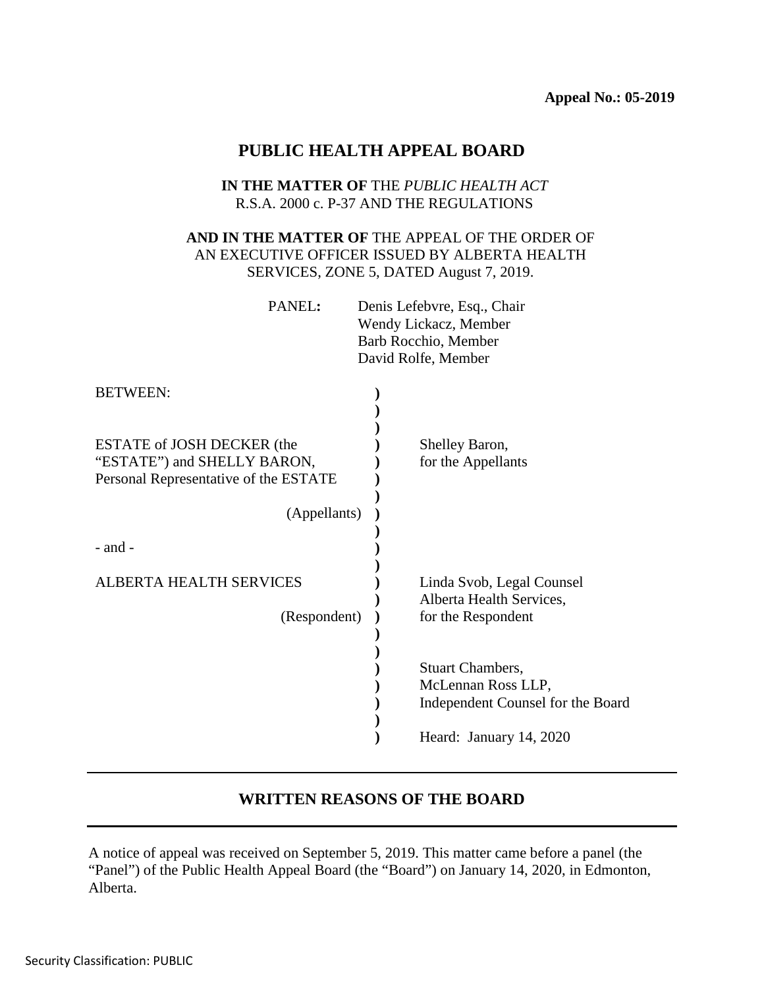# **PUBLIC HEALTH APPEAL BOARD**

## **IN THE MATTER OF** THE *PUBLIC HEALTH ACT* R.S.A. 2000 c. P-37 AND THE REGULATIONS

# **AND IN THE MATTER OF** THE APPEAL OF THE ORDER OF AN EXECUTIVE OFFICER ISSUED BY ALBERTA HEALTH SERVICES, ZONE 5, DATED August 7, 2019.

| PANEL:                                                                                                                    | Denis Lefebvre, Esq., Chair<br>Wendy Lickacz, Member<br>Barb Rocchio, Member<br>David Rolfe, Member           |
|---------------------------------------------------------------------------------------------------------------------------|---------------------------------------------------------------------------------------------------------------|
| <b>BETWEEN:</b>                                                                                                           |                                                                                                               |
| <b>ESTATE of JOSH DECKER (the</b><br>"ESTATE") and SHELLY BARON,<br>Personal Representative of the ESTATE<br>(Appellants) | Shelley Baron,<br>for the Appellants                                                                          |
| - and -                                                                                                                   |                                                                                                               |
| <b>ALBERTA HEALTH SERVICES</b><br>(Respondent)                                                                            | Linda Svob, Legal Counsel<br>Alberta Health Services,<br>for the Respondent                                   |
|                                                                                                                           | <b>Stuart Chambers,</b><br>McLennan Ross LLP,<br>Independent Counsel for the Board<br>Heard: January 14, 2020 |

# **WRITTEN REASONS OF THE BOARD**

A notice of appeal was received on September 5, 2019. This matter came before a panel (the "Panel") of the Public Health Appeal Board (the "Board") on January 14, 2020, in Edmonton, Alberta.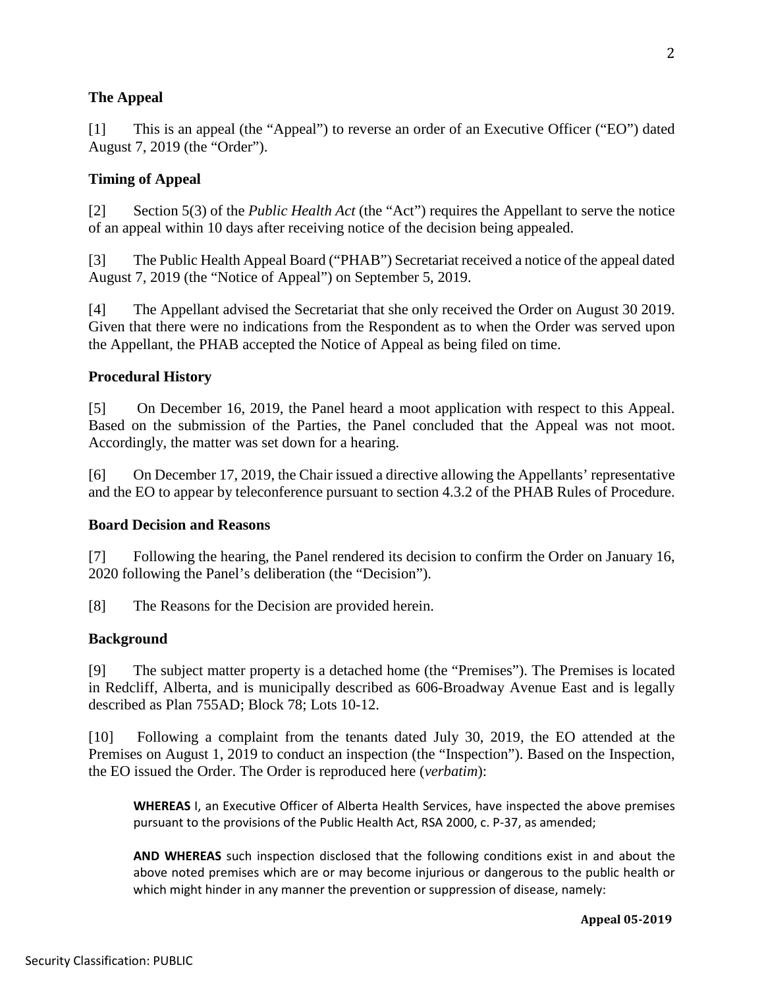# **The Appeal**

[1] This is an appeal (the "Appeal") to reverse an order of an Executive Officer ("EO") dated August 7, 2019 (the "Order").

# **Timing of Appeal**

[2] Section 5(3) of the *Public Health Act* (the "Act") requires the Appellant to serve the notice of an appeal within 10 days after receiving notice of the decision being appealed.

[3] The Public Health Appeal Board ("PHAB") Secretariat received a notice of the appeal dated August 7, 2019 (the "Notice of Appeal") on September 5, 2019.

[4] The Appellant advised the Secretariat that she only received the Order on August 30 2019. Given that there were no indications from the Respondent as to when the Order was served upon the Appellant, the PHAB accepted the Notice of Appeal as being filed on time.

## **Procedural History**

[5] On December 16, 2019, the Panel heard a moot application with respect to this Appeal. Based on the submission of the Parties, the Panel concluded that the Appeal was not moot. Accordingly, the matter was set down for a hearing.

[6] On December 17, 2019, the Chair issued a directive allowing the Appellants' representative and the EO to appear by teleconference pursuant to section 4.3.2 of the PHAB Rules of Procedure.

## **Board Decision and Reasons**

[7] Following the hearing, the Panel rendered its decision to confirm the Order on January 16, 2020 following the Panel's deliberation (the "Decision").

[8] The Reasons for the Decision are provided herein.

### **Background**

[9] The subject matter property is a detached home (the "Premises"). The Premises is located in Redcliff, Alberta, and is municipally described as 606-Broadway Avenue East and is legally described as Plan 755AD; Block 78; Lots 10-12.

[10] Following a complaint from the tenants dated July 30, 2019, the EO attended at the Premises on August 1, 2019 to conduct an inspection (the "Inspection"). Based on the Inspection, the EO issued the Order. The Order is reproduced here (*verbatim*):

**WHEREAS** I, an Executive Officer of Alberta Health Services, have inspected the above premises pursuant to the provisions of the Public Health Act, RSA 2000, c. P-37, as amended;

**AND WHEREAS** such inspection disclosed that the following conditions exist in and about the above noted premises which are or may become injurious or dangerous to the public health or which might hinder in any manner the prevention or suppression of disease, namely: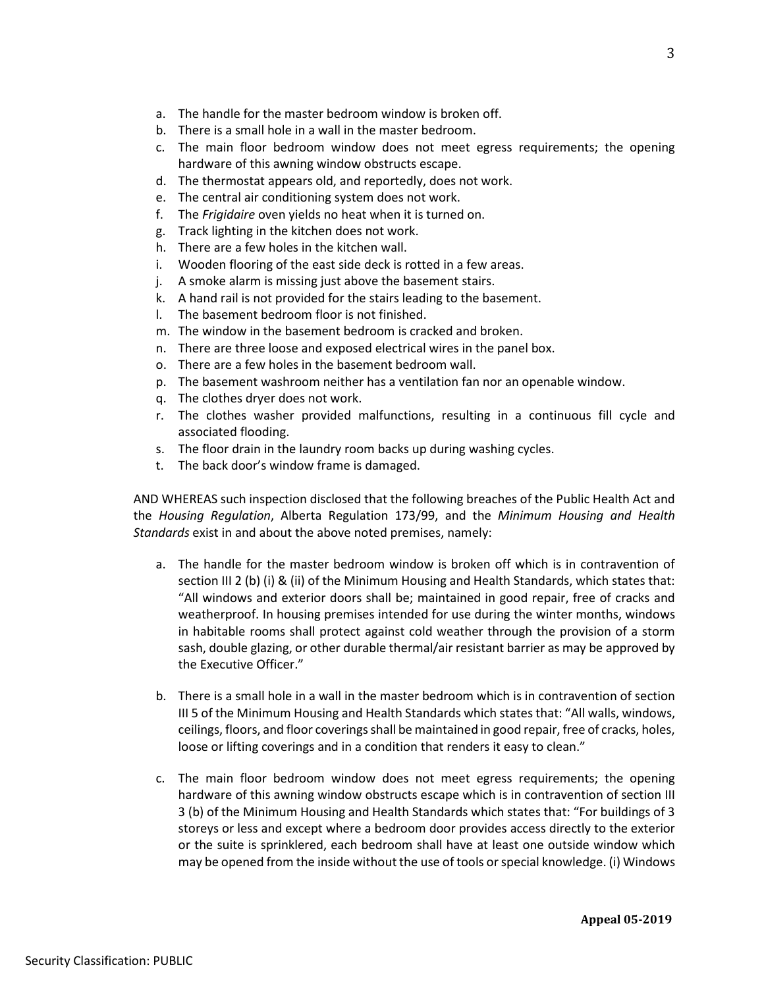- a. The handle for the master bedroom window is broken off.
- b. There is a small hole in a wall in the master bedroom.
- c. The main floor bedroom window does not meet egress requirements; the opening hardware of this awning window obstructs escape.
- d. The thermostat appears old, and reportedly, does not work.
- e. The central air conditioning system does not work.
- f. The *Frigidaire* oven yields no heat when it is turned on.
- g. Track lighting in the kitchen does not work.
- h. There are a few holes in the kitchen wall.
- i. Wooden flooring of the east side deck is rotted in a few areas.
- j. A smoke alarm is missing just above the basement stairs.
- k. A hand rail is not provided for the stairs leading to the basement.
- l. The basement bedroom floor is not finished.
- m. The window in the basement bedroom is cracked and broken.
- n. There are three loose and exposed electrical wires in the panel box.
- o. There are a few holes in the basement bedroom wall.
- p. The basement washroom neither has a ventilation fan nor an openable window.
- q. The clothes dryer does not work.
- r. The clothes washer provided malfunctions, resulting in a continuous fill cycle and associated flooding.
- s. The floor drain in the laundry room backs up during washing cycles.
- t. The back door's window frame is damaged.

AND WHEREAS such inspection disclosed that the following breaches of the Public Health Act and the *Housing Regulation*, Alberta Regulation 173/99, and the *Minimum Housing and Health Standards* exist in and about the above noted premises, namely:

- a. The handle for the master bedroom window is broken off which is in contravention of section III 2 (b) (i) & (ii) of the Minimum Housing and Health Standards, which states that: "All windows and exterior doors shall be; maintained in good repair, free of cracks and weatherproof. In housing premises intended for use during the winter months, windows in habitable rooms shall protect against cold weather through the provision of a storm sash, double glazing, or other durable thermal/air resistant barrier as may be approved by the Executive Officer."
- b. There is a small hole in a wall in the master bedroom which is in contravention of section III 5 of the Minimum Housing and Health Standards which states that: "All walls, windows, ceilings, floors, and floor coverings shall be maintained in good repair, free of cracks, holes, loose or lifting coverings and in a condition that renders it easy to clean."
- c. The main floor bedroom window does not meet egress requirements; the opening hardware of this awning window obstructs escape which is in contravention of section III 3 (b) of the Minimum Housing and Health Standards which states that: "For buildings of 3 storeys or less and except where a bedroom door provides access directly to the exterior or the suite is sprinklered, each bedroom shall have at least one outside window which may be opened from the inside without the use of tools or special knowledge. (i) Windows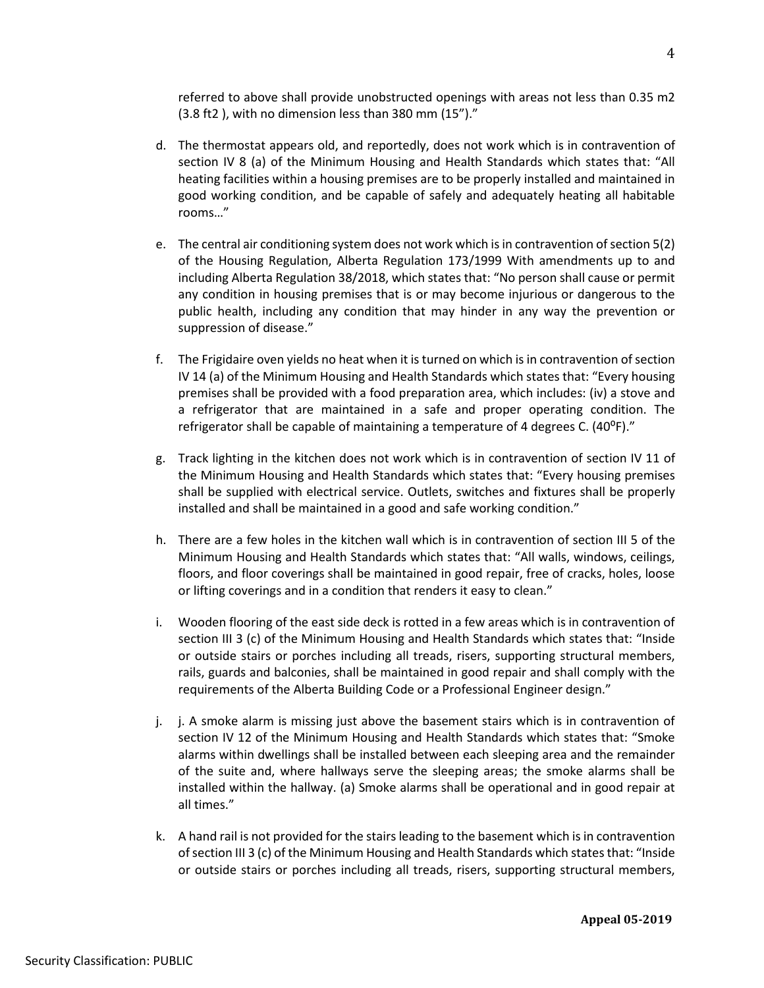referred to above shall provide unobstructed openings with areas not less than 0.35 m2 (3.8 ft2 ), with no dimension less than 380 mm (15")."

- d. The thermostat appears old, and reportedly, does not work which is in contravention of section IV 8 (a) of the Minimum Housing and Health Standards which states that: "All heating facilities within a housing premises are to be properly installed and maintained in good working condition, and be capable of safely and adequately heating all habitable rooms…"
- e. The central air conditioning system does not work which is in contravention of section 5(2) of the Housing Regulation, Alberta Regulation 173/1999 With amendments up to and including Alberta Regulation 38/2018, which states that: "No person shall cause or permit any condition in housing premises that is or may become injurious or dangerous to the public health, including any condition that may hinder in any way the prevention or suppression of disease."
- f. The Frigidaire oven yields no heat when it is turned on which is in contravention of section IV 14 (a) of the Minimum Housing and Health Standards which states that: "Every housing premises shall be provided with a food preparation area, which includes: (iv) a stove and a refrigerator that are maintained in a safe and proper operating condition. The refrigerator shall be capable of maintaining a temperature of 4 degrees C.  $(40^{\circ}F)$ ."
- g. Track lighting in the kitchen does not work which is in contravention of section IV 11 of the Minimum Housing and Health Standards which states that: "Every housing premises shall be supplied with electrical service. Outlets, switches and fixtures shall be properly installed and shall be maintained in a good and safe working condition."
- h. There are a few holes in the kitchen wall which is in contravention of section III 5 of the Minimum Housing and Health Standards which states that: "All walls, windows, ceilings, floors, and floor coverings shall be maintained in good repair, free of cracks, holes, loose or lifting coverings and in a condition that renders it easy to clean."
- i. Wooden flooring of the east side deck is rotted in a few areas which is in contravention of section III 3 (c) of the Minimum Housing and Health Standards which states that: "Inside or outside stairs or porches including all treads, risers, supporting structural members, rails, guards and balconies, shall be maintained in good repair and shall comply with the requirements of the Alberta Building Code or a Professional Engineer design."
- j. j. A smoke alarm is missing just above the basement stairs which is in contravention of section IV 12 of the Minimum Housing and Health Standards which states that: "Smoke alarms within dwellings shall be installed between each sleeping area and the remainder of the suite and, where hallways serve the sleeping areas; the smoke alarms shall be installed within the hallway. (a) Smoke alarms shall be operational and in good repair at all times."
- k. A hand rail is not provided for the stairs leading to the basement which is in contravention ofsection III 3 (c) of the Minimum Housing and Health Standards which states that: "Inside or outside stairs or porches including all treads, risers, supporting structural members,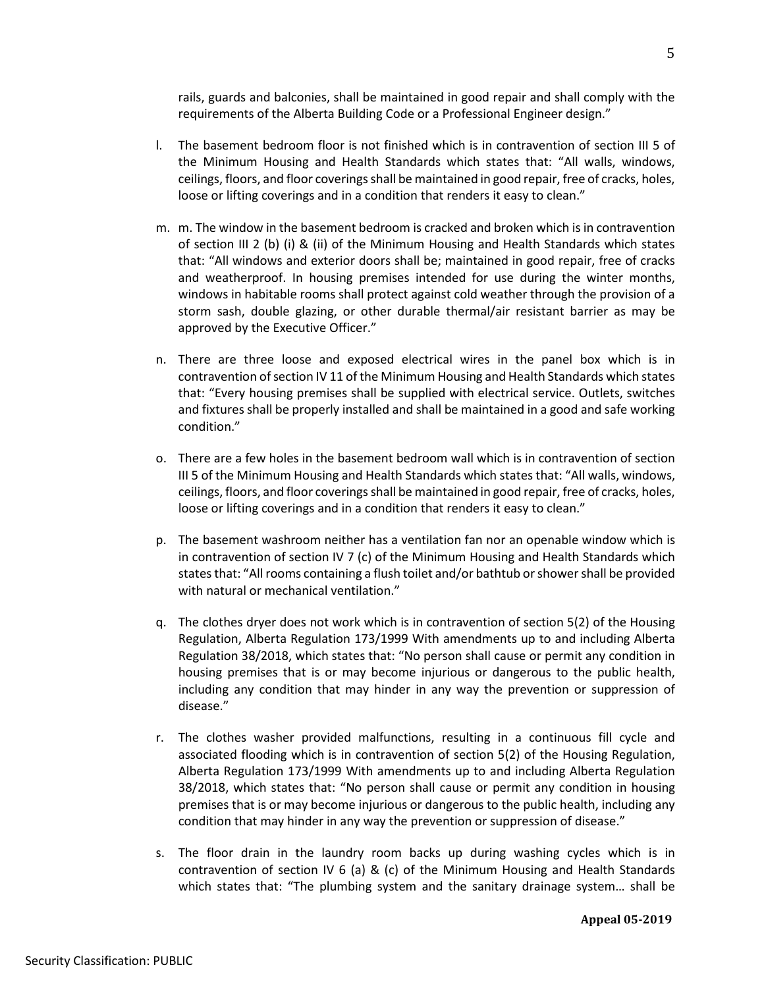rails, guards and balconies, shall be maintained in good repair and shall comply with the requirements of the Alberta Building Code or a Professional Engineer design."

- l. The basement bedroom floor is not finished which is in contravention of section III 5 of the Minimum Housing and Health Standards which states that: "All walls, windows, ceilings, floors, and floor coverings shall be maintained in good repair, free of cracks, holes, loose or lifting coverings and in a condition that renders it easy to clean."
- m. m. The window in the basement bedroom is cracked and broken which is in contravention of section III 2 (b) (i) & (ii) of the Minimum Housing and Health Standards which states that: "All windows and exterior doors shall be; maintained in good repair, free of cracks and weatherproof. In housing premises intended for use during the winter months, windows in habitable rooms shall protect against cold weather through the provision of a storm sash, double glazing, or other durable thermal/air resistant barrier as may be approved by the Executive Officer."
- n. There are three loose and exposed electrical wires in the panel box which is in contravention of section IV 11 of the Minimum Housing and Health Standards which states that: "Every housing premises shall be supplied with electrical service. Outlets, switches and fixtures shall be properly installed and shall be maintained in a good and safe working condition."
- o. There are a few holes in the basement bedroom wall which is in contravention of section III 5 of the Minimum Housing and Health Standards which states that: "All walls, windows, ceilings, floors, and floor coverings shall be maintained in good repair, free of cracks, holes, loose or lifting coverings and in a condition that renders it easy to clean."
- p. The basement washroom neither has a ventilation fan nor an openable window which is in contravention of section IV 7 (c) of the Minimum Housing and Health Standards which states that: "All rooms containing a flush toilet and/or bathtub or shower shall be provided with natural or mechanical ventilation."
- q. The clothes dryer does not work which is in contravention of section 5(2) of the Housing Regulation, Alberta Regulation 173/1999 With amendments up to and including Alberta Regulation 38/2018, which states that: "No person shall cause or permit any condition in housing premises that is or may become injurious or dangerous to the public health, including any condition that may hinder in any way the prevention or suppression of disease."
- r. The clothes washer provided malfunctions, resulting in a continuous fill cycle and associated flooding which is in contravention of section 5(2) of the Housing Regulation, Alberta Regulation 173/1999 With amendments up to and including Alberta Regulation 38/2018, which states that: "No person shall cause or permit any condition in housing premises that is or may become injurious or dangerous to the public health, including any condition that may hinder in any way the prevention or suppression of disease."
- s. The floor drain in the laundry room backs up during washing cycles which is in contravention of section IV 6 (a) & (c) of the Minimum Housing and Health Standards which states that: "The plumbing system and the sanitary drainage system… shall be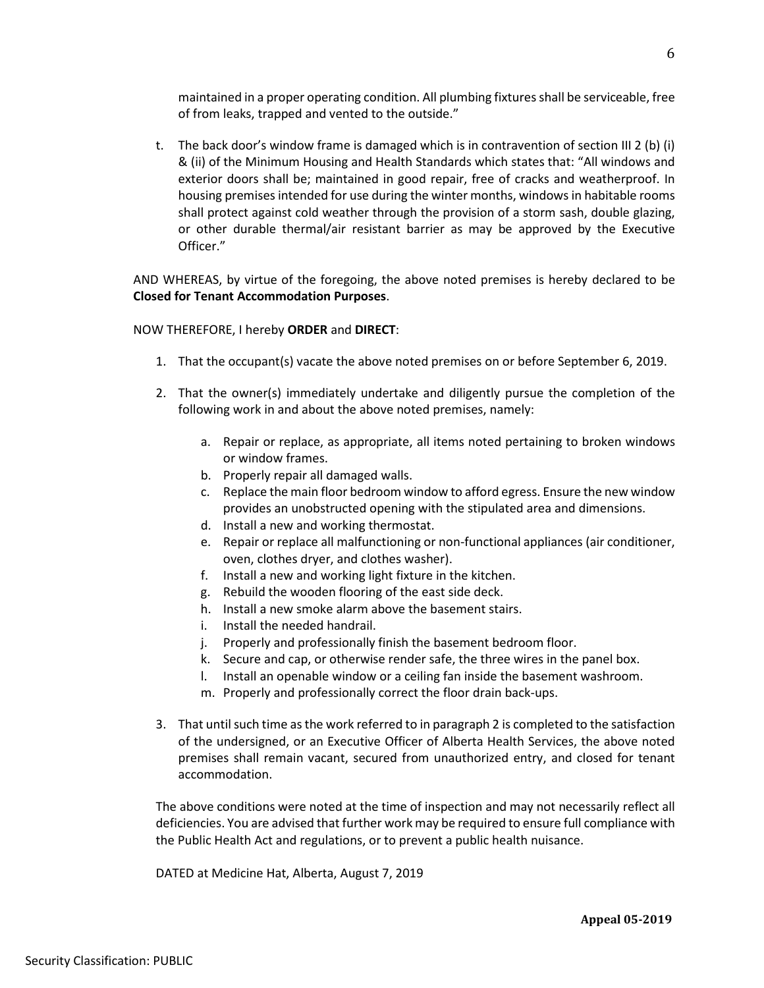maintained in a proper operating condition. All plumbing fixtures shall be serviceable, free of from leaks, trapped and vented to the outside."

t. The back door's window frame is damaged which is in contravention of section III 2 (b) (i) & (ii) of the Minimum Housing and Health Standards which states that: "All windows and exterior doors shall be; maintained in good repair, free of cracks and weatherproof. In housing premises intended for use during the winter months, windows in habitable rooms shall protect against cold weather through the provision of a storm sash, double glazing, or other durable thermal/air resistant barrier as may be approved by the Executive Officer."

AND WHEREAS, by virtue of the foregoing, the above noted premises is hereby declared to be **Closed for Tenant Accommodation Purposes**.

NOW THEREFORE, I hereby **ORDER** and **DIRECT**:

- 1. That the occupant(s) vacate the above noted premises on or before September 6, 2019.
- 2. That the owner(s) immediately undertake and diligently pursue the completion of the following work in and about the above noted premises, namely:
	- a. Repair or replace, as appropriate, all items noted pertaining to broken windows or window frames.
	- b. Properly repair all damaged walls.
	- c. Replace the main floor bedroom window to afford egress. Ensure the new window provides an unobstructed opening with the stipulated area and dimensions.
	- d. Install a new and working thermostat.
	- e. Repair or replace all malfunctioning or non-functional appliances (air conditioner, oven, clothes dryer, and clothes washer).
	- f. Install a new and working light fixture in the kitchen.
	- g. Rebuild the wooden flooring of the east side deck.
	- h. Install a new smoke alarm above the basement stairs.
	- i. Install the needed handrail.
	- j. Properly and professionally finish the basement bedroom floor.
	- k. Secure and cap, or otherwise render safe, the three wires in the panel box.
	- l. Install an openable window or a ceiling fan inside the basement washroom.
	- m. Properly and professionally correct the floor drain back-ups.
- 3. That until such time as the work referred to in paragraph 2 is completed to the satisfaction of the undersigned, or an Executive Officer of Alberta Health Services, the above noted premises shall remain vacant, secured from unauthorized entry, and closed for tenant accommodation.

The above conditions were noted at the time of inspection and may not necessarily reflect all deficiencies. You are advised that further work may be required to ensure full compliance with the Public Health Act and regulations, or to prevent a public health nuisance.

DATED at Medicine Hat, Alberta, August 7, 2019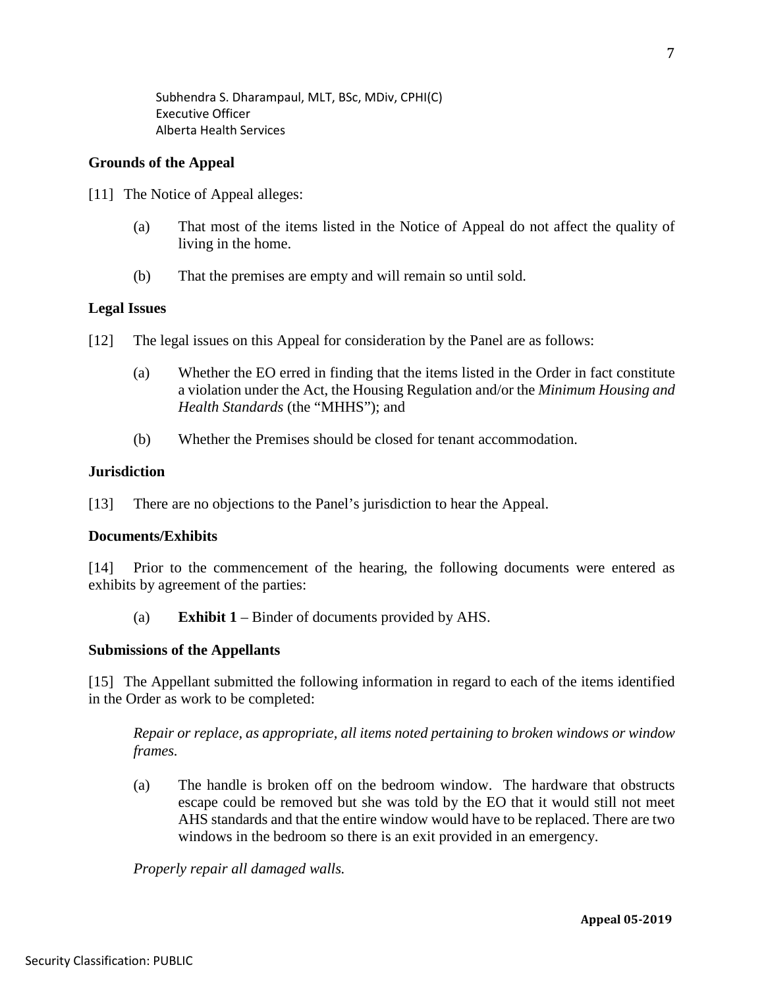Subhendra S. Dharampaul, MLT, BSc, MDiv, CPHI(C) Executive Officer Alberta Health Services

### **Grounds of the Appeal**

- [11] The Notice of Appeal alleges:
	- (a) That most of the items listed in the Notice of Appeal do not affect the quality of living in the home.
	- (b) That the premises are empty and will remain so until sold.

### **Legal Issues**

- [12] The legal issues on this Appeal for consideration by the Panel are as follows:
	- (a) Whether the EO erred in finding that the items listed in the Order in fact constitute a violation under the Act, the Housing Regulation and/or the *Minimum Housing and Health Standards* (the "MHHS"); and
	- (b) Whether the Premises should be closed for tenant accommodation.

#### **Jurisdiction**

[13] There are no objections to the Panel's jurisdiction to hear the Appeal.

### **Documents/Exhibits**

[14] Prior to the commencement of the hearing, the following documents were entered as exhibits by agreement of the parties:

(a) **Exhibit 1** – Binder of documents provided by AHS.

#### **Submissions of the Appellants**

[15] The Appellant submitted the following information in regard to each of the items identified in the Order as work to be completed:

*Repair or replace, as appropriate, all items noted pertaining to broken windows or window frames.*

(a) The handle is broken off on the bedroom window. The hardware that obstructs escape could be removed but she was told by the EO that it would still not meet AHS standards and that the entire window would have to be replaced. There are two windows in the bedroom so there is an exit provided in an emergency.

*Properly repair all damaged walls.*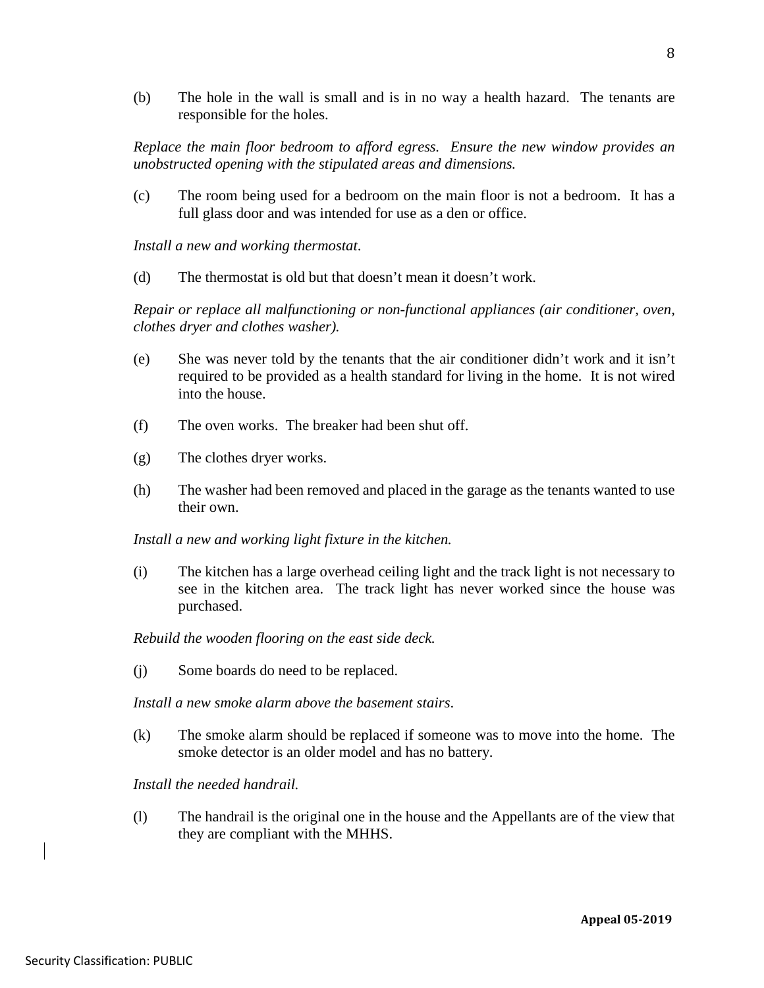(b) The hole in the wall is small and is in no way a health hazard. The tenants are responsible for the holes.

*Replace the main floor bedroom to afford egress. Ensure the new window provides an unobstructed opening with the stipulated areas and dimensions.*

(c) The room being used for a bedroom on the main floor is not a bedroom. It has a full glass door and was intended for use as a den or office.

*Install a new and working thermostat*.

(d) The thermostat is old but that doesn't mean it doesn't work.

*Repair or replace all malfunctioning or non-functional appliances (air conditioner, oven, clothes dryer and clothes washer).*

- (e) She was never told by the tenants that the air conditioner didn't work and it isn't required to be provided as a health standard for living in the home. It is not wired into the house.
- (f) The oven works. The breaker had been shut off.
- (g) The clothes dryer works.
- (h) The washer had been removed and placed in the garage as the tenants wanted to use their own.

*Install a new and working light fixture in the kitchen.*

(i) The kitchen has a large overhead ceiling light and the track light is not necessary to see in the kitchen area. The track light has never worked since the house was purchased.

*Rebuild the wooden flooring on the east side deck.*

(j) Some boards do need to be replaced.

*Install a new smoke alarm above the basement stairs*.

(k) The smoke alarm should be replaced if someone was to move into the home. The smoke detector is an older model and has no battery.

*Install the needed handrail.* 

(l) The handrail is the original one in the house and the Appellants are of the view that they are compliant with the MHHS.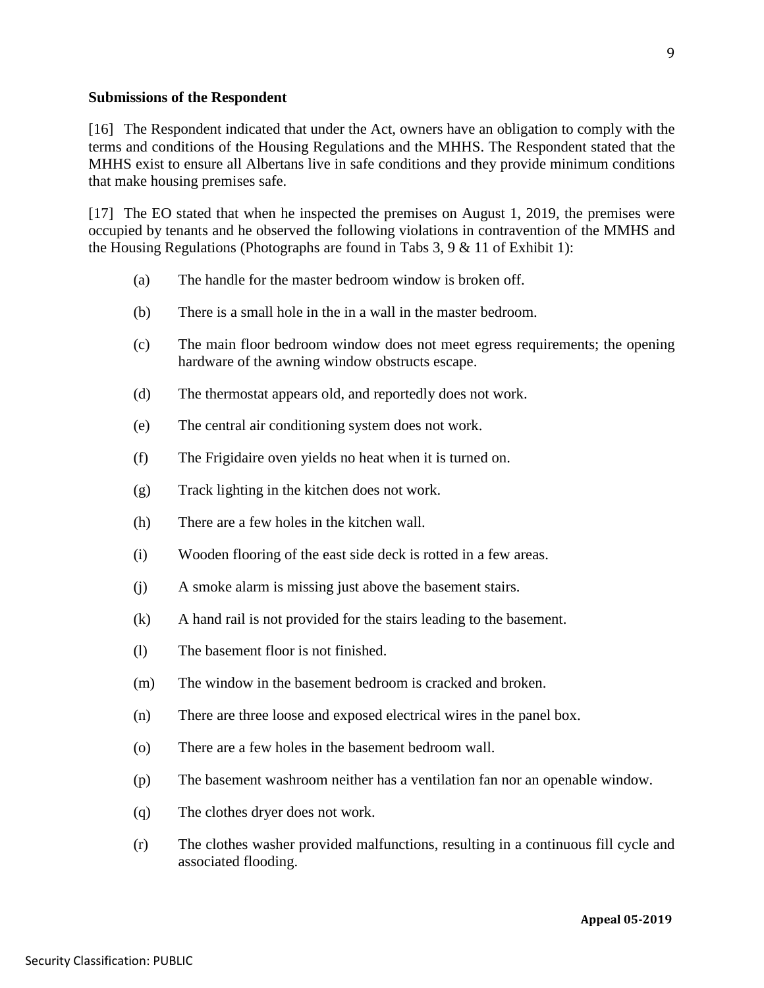### **Submissions of the Respondent**

[16] The Respondent indicated that under the Act, owners have an obligation to comply with the terms and conditions of the Housing Regulations and the MHHS. The Respondent stated that the MHHS exist to ensure all Albertans live in safe conditions and they provide minimum conditions that make housing premises safe.

[17] The EO stated that when he inspected the premises on August 1, 2019, the premises were occupied by tenants and he observed the following violations in contravention of the MMHS and the Housing Regulations (Photographs are found in Tabs 3, 9 & 11 of Exhibit 1):

- (a) The handle for the master bedroom window is broken off.
- (b) There is a small hole in the in a wall in the master bedroom.
- (c) The main floor bedroom window does not meet egress requirements; the opening hardware of the awning window obstructs escape.
- (d) The thermostat appears old, and reportedly does not work.
- (e) The central air conditioning system does not work.
- (f) The Frigidaire oven yields no heat when it is turned on.
- (g) Track lighting in the kitchen does not work.
- (h) There are a few holes in the kitchen wall.
- (i) Wooden flooring of the east side deck is rotted in a few areas.
- (j) A smoke alarm is missing just above the basement stairs.
- (k) A hand rail is not provided for the stairs leading to the basement.
- (l) The basement floor is not finished.
- (m) The window in the basement bedroom is cracked and broken.
- (n) There are three loose and exposed electrical wires in the panel box.
- (o) There are a few holes in the basement bedroom wall.
- (p) The basement washroom neither has a ventilation fan nor an openable window.
- (q) The clothes dryer does not work.
- (r) The clothes washer provided malfunctions, resulting in a continuous fill cycle and associated flooding.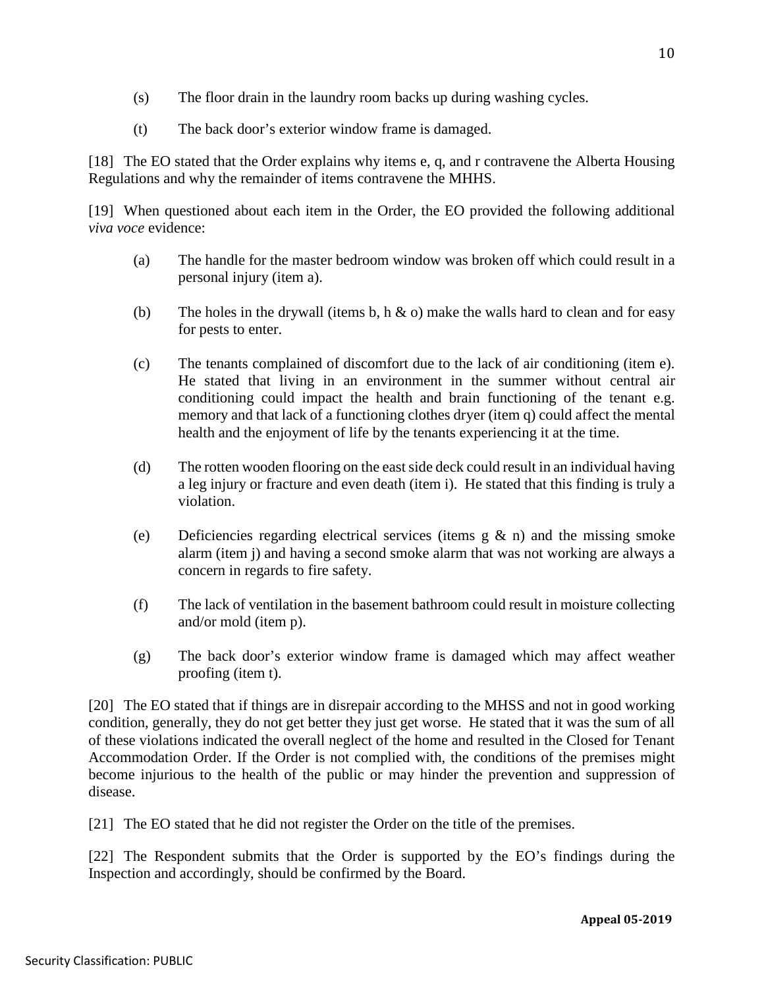- (s) The floor drain in the laundry room backs up during washing cycles.
- (t) The back door's exterior window frame is damaged.

[18] The EO stated that the Order explains why items e, q, and r contravene the Alberta Housing Regulations and why the remainder of items contravene the MHHS.

[19] When questioned about each item in the Order, the EO provided the following additional *viva voce* evidence:

- (a) The handle for the master bedroom window was broken off which could result in a personal injury (item a).
- (b) The holes in the drywall (items b, h  $\&$  o) make the walls hard to clean and for easy for pests to enter.
- (c) The tenants complained of discomfort due to the lack of air conditioning (item e). He stated that living in an environment in the summer without central air conditioning could impact the health and brain functioning of the tenant e.g. memory and that lack of a functioning clothes dryer (item q) could affect the mental health and the enjoyment of life by the tenants experiencing it at the time.
- (d) The rotten wooden flooring on the east side deck could result in an individual having a leg injury or fracture and even death (item i). He stated that this finding is truly a violation.
- (e) Deficiencies regarding electrical services (items  $g \& n$ ) and the missing smoke alarm (item j) and having a second smoke alarm that was not working are always a concern in regards to fire safety.
- (f) The lack of ventilation in the basement bathroom could result in moisture collecting and/or mold (item p).
- (g) The back door's exterior window frame is damaged which may affect weather proofing (item t).

[20] The EO stated that if things are in disrepair according to the MHSS and not in good working condition, generally, they do not get better they just get worse. He stated that it was the sum of all of these violations indicated the overall neglect of the home and resulted in the Closed for Tenant Accommodation Order. If the Order is not complied with, the conditions of the premises might become injurious to the health of the public or may hinder the prevention and suppression of disease.

[21] The EO stated that he did not register the Order on the title of the premises.

[22] The Respondent submits that the Order is supported by the EO's findings during the Inspection and accordingly, should be confirmed by the Board.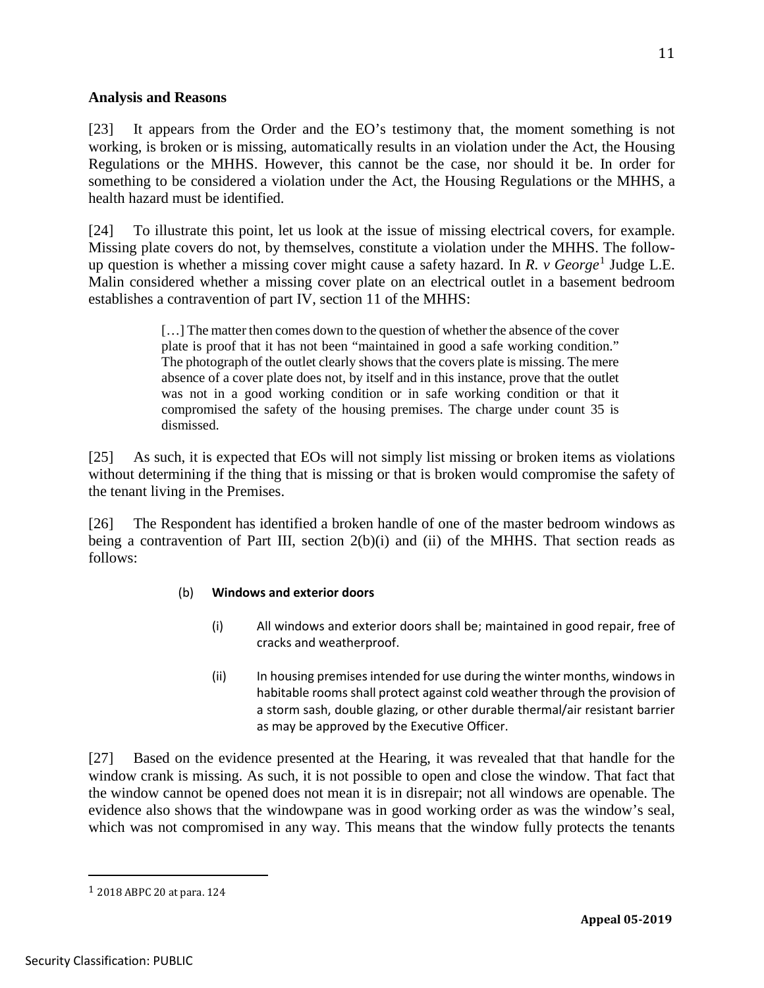### **Analysis and Reasons**

[23] It appears from the Order and the EO's testimony that, the moment something is not working, is broken or is missing, automatically results in an violation under the Act, the Housing Regulations or the MHHS. However, this cannot be the case, nor should it be. In order for something to be considered a violation under the Act, the Housing Regulations or the MHHS, a health hazard must be identified.

[24] To illustrate this point, let us look at the issue of missing electrical covers, for example. Missing plate covers do not, by themselves, constitute a violation under the MHHS. The followup question is whether a missing cover might cause a safety hazard. In *R. v George*<sup>[1](#page-10-0)</sup> Judge L.E. Malin considered whether a missing cover plate on an electrical outlet in a basement bedroom establishes a contravention of part IV, section 11 of the MHHS:

> [...] The matter then comes down to the question of whether the absence of the cover plate is proof that it has not been "maintained in good a safe working condition." The photograph of the outlet clearly shows that the covers plate is missing. The mere absence of a cover plate does not, by itself and in this instance, prove that the outlet was not in a good working condition or in safe working condition or that it compromised the safety of the housing premises. The charge under count 35 is dismissed.

[25] As such, it is expected that EOs will not simply list missing or broken items as violations without determining if the thing that is missing or that is broken would compromise the safety of the tenant living in the Premises.

[26] The Respondent has identified a broken handle of one of the master bedroom windows as being a contravention of Part III, section 2(b)(i) and (ii) of the MHHS. That section reads as follows:

## (b) **Windows and exterior doors**

- (i) All windows and exterior doors shall be; maintained in good repair, free of cracks and weatherproof.
- (ii) In housing premises intended for use during the winter months, windows in habitable rooms shall protect against cold weather through the provision of a storm sash, double glazing, or other durable thermal/air resistant barrier as may be approved by the Executive Officer.

[27] Based on the evidence presented at the Hearing, it was revealed that that handle for the window crank is missing. As such, it is not possible to open and close the window. That fact that the window cannot be opened does not mean it is in disrepair; not all windows are openable. The evidence also shows that the windowpane was in good working order as was the window's seal, which was not compromised in any way. This means that the window fully protects the tenants

<span id="page-10-0"></span> <sup>1</sup> 2018 ABPC 20 at para. 124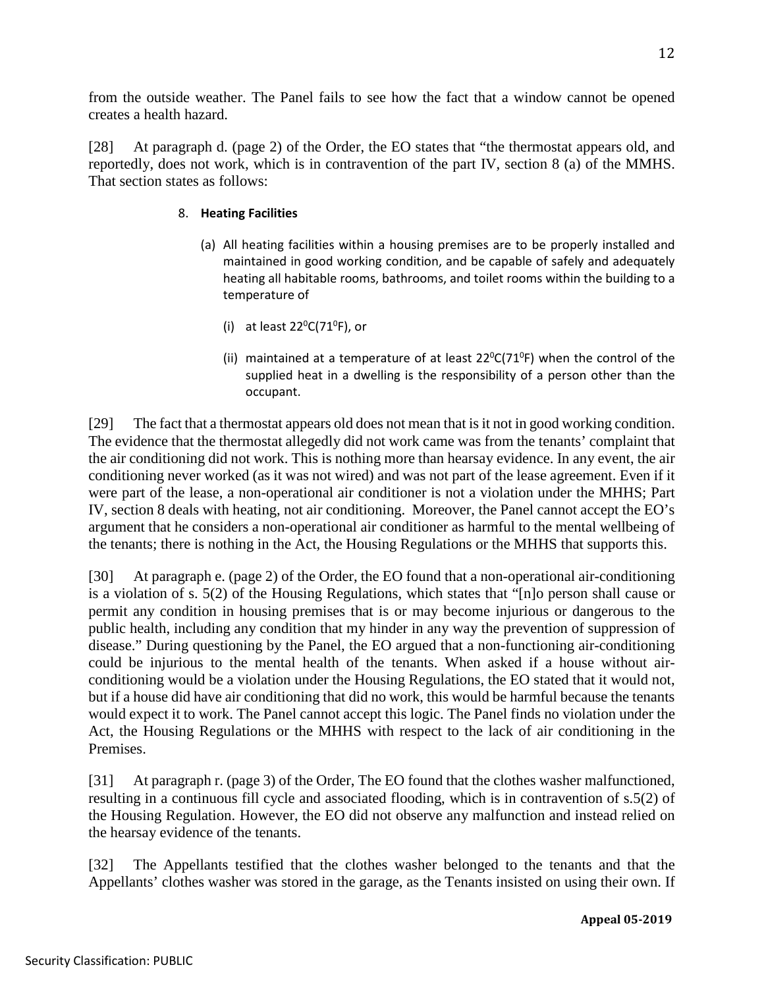from the outside weather. The Panel fails to see how the fact that a window cannot be opened creates a health hazard.

[28] At paragraph d. (page 2) of the Order, the EO states that "the thermostat appears old, and reportedly, does not work, which is in contravention of the part IV, section 8 (a) of the MMHS. That section states as follows:

# 8. **Heating Facilities**

- (a) All heating facilities within a housing premises are to be properly installed and maintained in good working condition, and be capable of safely and adequately heating all habitable rooms, bathrooms, and toilet rooms within the building to a temperature of
	- (i) at least  $22^0C(71^0F)$ , or
	- (ii) maintained at a temperature of at least  $22^{\circ}C(71^{\circ}F)$  when the control of the supplied heat in a dwelling is the responsibility of a person other than the occupant.

[29] The fact that a thermostat appears old does not mean that is it not in good working condition. The evidence that the thermostat allegedly did not work came was from the tenants' complaint that the air conditioning did not work. This is nothing more than hearsay evidence. In any event, the air conditioning never worked (as it was not wired) and was not part of the lease agreement. Even if it were part of the lease, a non-operational air conditioner is not a violation under the MHHS; Part IV, section 8 deals with heating, not air conditioning. Moreover, the Panel cannot accept the EO's argument that he considers a non-operational air conditioner as harmful to the mental wellbeing of the tenants; there is nothing in the Act, the Housing Regulations or the MHHS that supports this.

[30] At paragraph e. (page 2) of the Order, the EO found that a non-operational air-conditioning is a violation of s. 5(2) of the Housing Regulations, which states that "[n]o person shall cause or permit any condition in housing premises that is or may become injurious or dangerous to the public health, including any condition that my hinder in any way the prevention of suppression of disease." During questioning by the Panel, the EO argued that a non-functioning air-conditioning could be injurious to the mental health of the tenants. When asked if a house without airconditioning would be a violation under the Housing Regulations, the EO stated that it would not, but if a house did have air conditioning that did no work, this would be harmful because the tenants would expect it to work. The Panel cannot accept this logic. The Panel finds no violation under the Act, the Housing Regulations or the MHHS with respect to the lack of air conditioning in the Premises.

[31] At paragraph r. (page 3) of the Order, The EO found that the clothes washer malfunctioned, resulting in a continuous fill cycle and associated flooding, which is in contravention of s.5(2) of the Housing Regulation. However, the EO did not observe any malfunction and instead relied on the hearsay evidence of the tenants.

[32] The Appellants testified that the clothes washer belonged to the tenants and that the Appellants' clothes washer was stored in the garage, as the Tenants insisted on using their own. If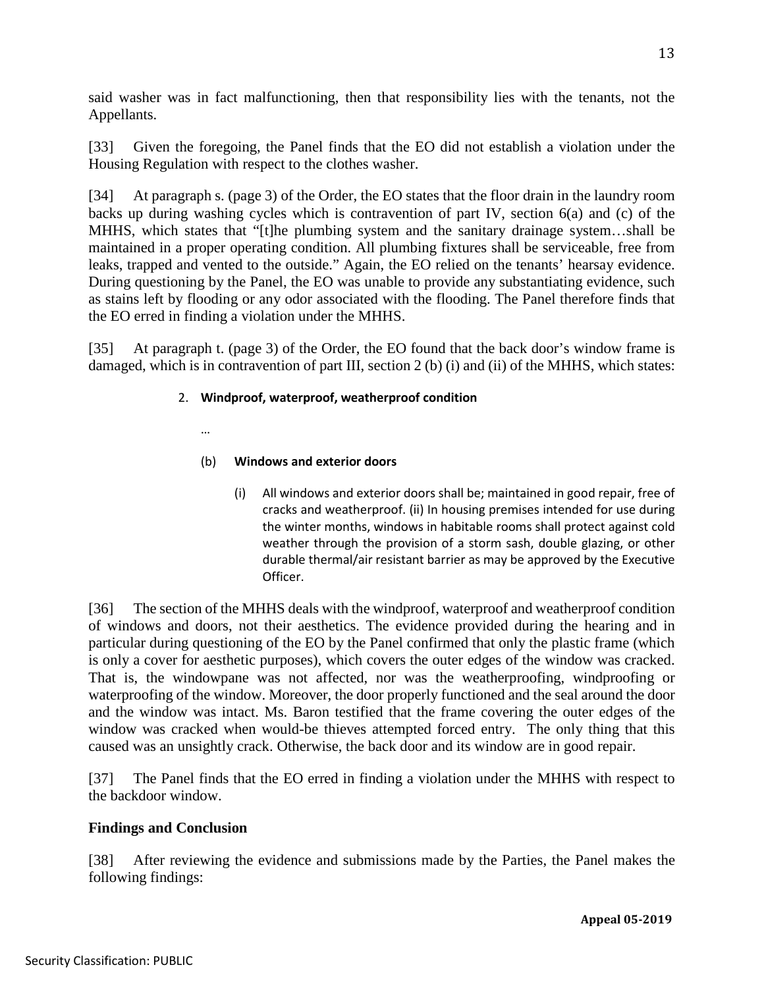said washer was in fact malfunctioning, then that responsibility lies with the tenants, not the Appellants.

[33] Given the foregoing, the Panel finds that the EO did not establish a violation under the Housing Regulation with respect to the clothes washer.

[34] At paragraph s. (page 3) of the Order, the EO states that the floor drain in the laundry room backs up during washing cycles which is contravention of part IV, section 6(a) and (c) of the MHHS, which states that "[t]he plumbing system and the sanitary drainage system…shall be maintained in a proper operating condition. All plumbing fixtures shall be serviceable, free from leaks, trapped and vented to the outside." Again, the EO relied on the tenants' hearsay evidence. During questioning by the Panel, the EO was unable to provide any substantiating evidence, such as stains left by flooding or any odor associated with the flooding. The Panel therefore finds that the EO erred in finding a violation under the MHHS.

[35] At paragraph t. (page 3) of the Order, the EO found that the back door's window frame is damaged, which is in contravention of part III, section 2 (b) (i) and (ii) of the MHHS, which states:

## 2. **Windproof, waterproof, weatherproof condition**

…

## (b) **Windows and exterior doors**

(i) All windows and exterior doors shall be; maintained in good repair, free of cracks and weatherproof. (ii) In housing premises intended for use during the winter months, windows in habitable rooms shall protect against cold weather through the provision of a storm sash, double glazing, or other durable thermal/air resistant barrier as may be approved by the Executive Officer.

[36] The section of the MHHS deals with the windproof, waterproof and weatherproof condition of windows and doors, not their aesthetics. The evidence provided during the hearing and in particular during questioning of the EO by the Panel confirmed that only the plastic frame (which is only a cover for aesthetic purposes), which covers the outer edges of the window was cracked. That is, the windowpane was not affected, nor was the weatherproofing, windproofing or waterproofing of the window. Moreover, the door properly functioned and the seal around the door and the window was intact. Ms. Baron testified that the frame covering the outer edges of the window was cracked when would-be thieves attempted forced entry. The only thing that this caused was an unsightly crack. Otherwise, the back door and its window are in good repair.

[37] The Panel finds that the EO erred in finding a violation under the MHHS with respect to the backdoor window.

## **Findings and Conclusion**

[38] After reviewing the evidence and submissions made by the Parties, the Panel makes the following findings: